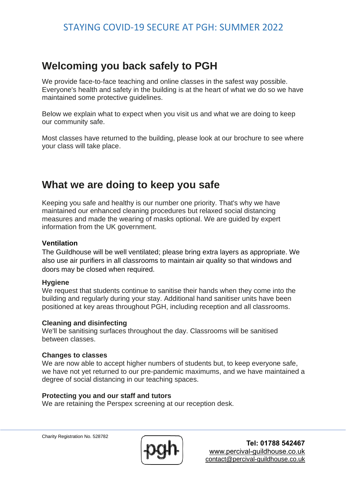# STAYING COVID-19 SECURE AT PGH: SUMMER 2022

# **Welcoming you back safely to PGH**

We provide face-to-face teaching and online classes in the safest way possible. Everyone's health and safety in the building is at the heart of what we do so we have maintained some protective guidelines.

Below we explain what to expect when you visit us and what we are doing to keep our community safe.

Most classes have returned to the building, please look at our brochure to see where your class will take place.

# **What we are doing to keep you safe**

Keeping you safe and healthy is our number one priority. That's why we have maintained our enhanced cleaning procedures but relaxed social distancing measures and made the wearing of masks optional. We are guided by expert information from the UK government.

## **Ventilation**

The Guildhouse will be well ventilated; please bring extra layers as appropriate. We also use air purifiers in all classrooms to maintain air quality so that windows and doors may be closed when required.

#### **Hygiene**

We request that students continue to sanitise their hands when they come into the building and regularly during your stay. Additional hand sanitiser units have been positioned at key areas throughout PGH, including reception and all classrooms.

#### **Cleaning and disinfecting**

We'll be sanitising surfaces throughout the day. Classrooms will be sanitised between classes.

#### **Changes to classes**

We are now able to accept higher numbers of students but, to keep everyone safe, we have not yet returned to our pre-pandemic maximums, and we have maintained a degree of social distancing in our teaching spaces.

#### **Protecting you and our staff and tutors**

We are retaining the Perspex screening at our reception desk.

Charity Registration No. 528782